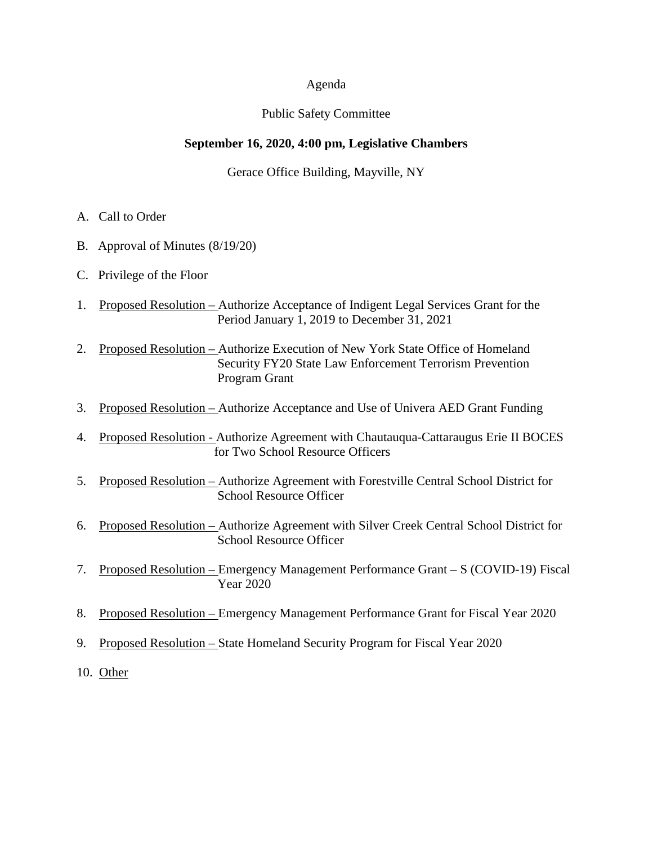#### Agenda

## Public Safety Committee

## **September 16, 2020, 4:00 pm, Legislative Chambers**

Gerace Office Building, Mayville, NY

- A. Call to Order
- B. Approval of Minutes (8/19/20)
- C. Privilege of the Floor
- 1. Proposed Resolution Authorize Acceptance of Indigent Legal Services Grant for the Period January 1, 2019 to December 31, 2021
- 2. Proposed Resolution Authorize Execution of New York State Office of Homeland Security FY20 State Law Enforcement Terrorism Prevention Program Grant
- 3. Proposed Resolution Authorize Acceptance and Use of Univera AED Grant Funding
- 4. Proposed Resolution Authorize Agreement with Chautauqua-Cattaraugus Erie II BOCES for Two School Resource Officers
- 5. Proposed Resolution Authorize Agreement with Forestville Central School District for School Resource Officer
- 6. Proposed Resolution Authorize Agreement with Silver Creek Central School District for School Resource Officer
- 7. Proposed Resolution Emergency Management Performance Grant S (COVID-19) Fiscal Year 2020
- 8. Proposed Resolution Emergency Management Performance Grant for Fiscal Year 2020
- 9. Proposed Resolution State Homeland Security Program for Fiscal Year 2020
- 10. Other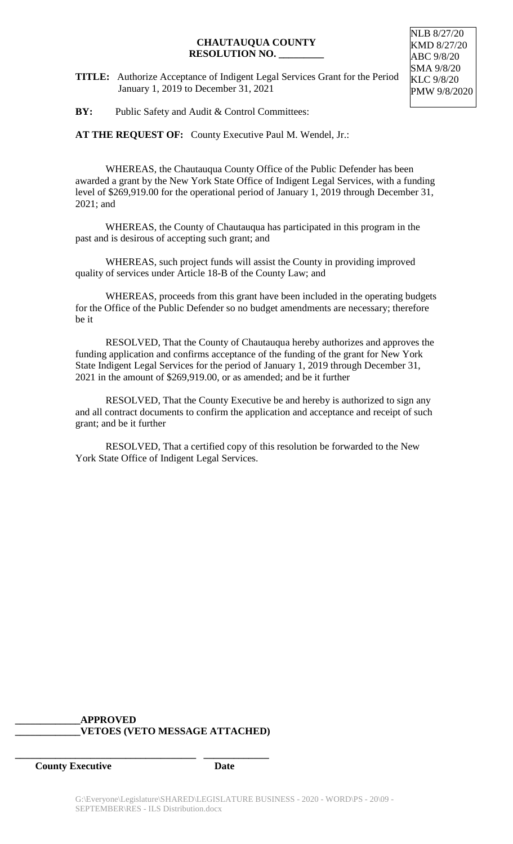**TITLE:** Authorize Acceptance of Indigent Legal Services Grant for the Period January 1, 2019 to December 31, 2021

NLB 8/27/20 KMD 8/27/20 ABC 9/8/20 SMA 9/8/20 KLC 9/8/20 PMW 9/8/2020

**BY:** Public Safety and Audit & Control Committees:

**AT THE REQUEST OF:** County Executive Paul M. Wendel, Jr.:

WHEREAS, the Chautauqua County Office of the Public Defender has been awarded a grant by the New York State Office of Indigent Legal Services, with a funding level of \$269,919.00 for the operational period of January 1, 2019 through December 31, 2021; and

WHEREAS, the County of Chautauqua has participated in this program in the past and is desirous of accepting such grant; and

WHEREAS, such project funds will assist the County in providing improved quality of services under Article 18-B of the County Law; and

WHEREAS, proceeds from this grant have been included in the operating budgets for the Office of the Public Defender so no budget amendments are necessary; therefore be it

RESOLVED, That the County of Chautauqua hereby authorizes and approves the funding application and confirms acceptance of the funding of the grant for New York State Indigent Legal Services for the period of January 1, 2019 through December 31, 2021 in the amount of \$269,919.00, or as amended; and be it further

RESOLVED, That the County Executive be and hereby is authorized to sign any and all contract documents to confirm the application and acceptance and receipt of such grant; and be it further

RESOLVED, That a certified copy of this resolution be forwarded to the New York State Office of Indigent Legal Services.

## **\_\_\_\_\_\_\_\_\_\_\_\_\_APPROVED \_\_\_\_\_\_\_\_\_\_\_\_\_VETOES (VETO MESSAGE ATTACHED)**

**\_\_\_\_\_\_\_\_\_\_\_\_\_\_\_\_\_\_\_\_\_\_\_\_\_\_\_\_\_\_\_\_\_\_\_\_ \_\_\_\_\_\_\_\_\_\_\_\_\_**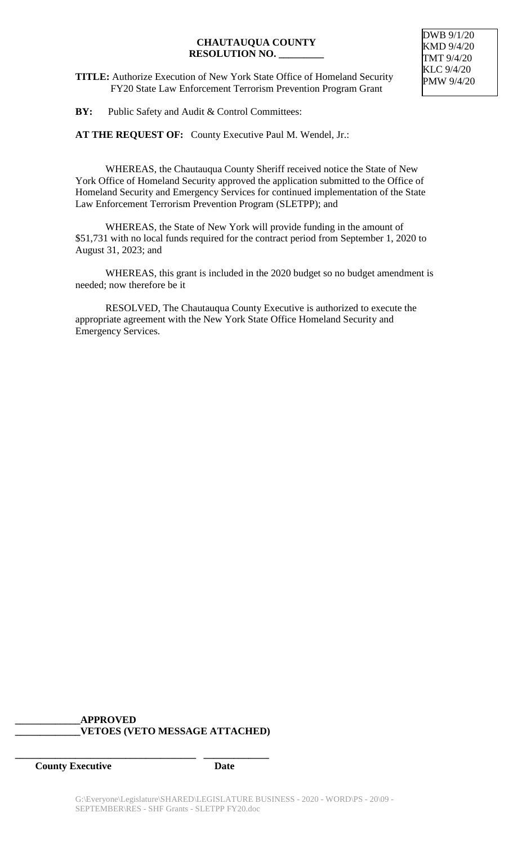**TITLE:** Authorize Execution of New York State Office of Homeland Security FY20 State Law Enforcement Terrorism Prevention Program Grant

**BY:** Public Safety and Audit & Control Committees:

**AT THE REQUEST OF:** County Executive Paul M. Wendel, Jr.:

WHEREAS, the Chautauqua County Sheriff received notice the State of New York Office of Homeland Security approved the application submitted to the Office of Homeland Security and Emergency Services for continued implementation of the State Law Enforcement Terrorism Prevention Program (SLETPP); and

WHEREAS, the State of New York will provide funding in the amount of \$51,731 with no local funds required for the contract period from September 1, 2020 to August 31, 2023; and

WHEREAS, this grant is included in the 2020 budget so no budget amendment is needed; now therefore be it

RESOLVED, The Chautauqua County Executive is authorized to execute the appropriate agreement with the New York State Office Homeland Security and Emergency Services.

## **\_\_\_\_\_\_\_\_\_\_\_\_\_APPROVED \_\_\_\_\_\_\_\_\_\_\_\_\_VETOES (VETO MESSAGE ATTACHED)**

**\_\_\_\_\_\_\_\_\_\_\_\_\_\_\_\_\_\_\_\_\_\_\_\_\_\_\_\_\_\_\_\_\_\_\_\_ \_\_\_\_\_\_\_\_\_\_\_\_\_**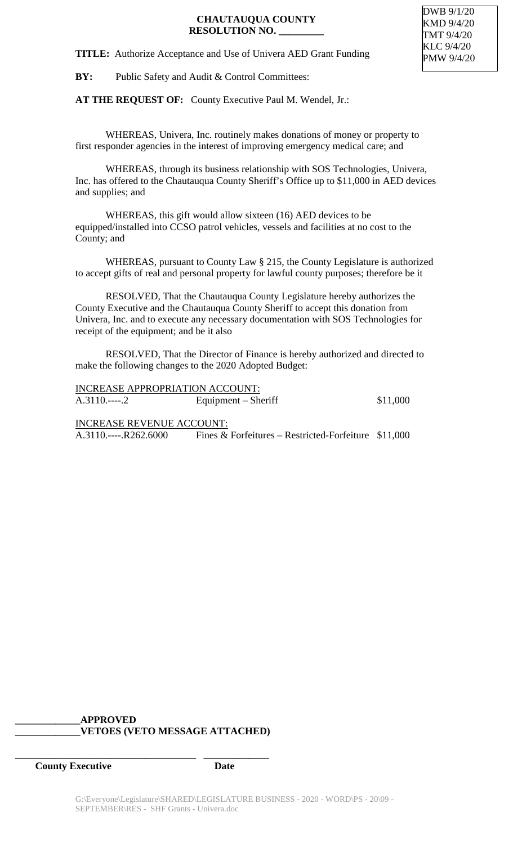**TITLE:** Authorize Acceptance and Use of Univera AED Grant Funding

**BY:** Public Safety and Audit & Control Committees:

**AT THE REQUEST OF:** County Executive Paul M. Wendel, Jr.:

WHEREAS, Univera, Inc. routinely makes donations of money or property to first responder agencies in the interest of improving emergency medical care; and

WHEREAS, through its business relationship with SOS Technologies, Univera, Inc. has offered to the Chautauqua County Sheriff's Office up to \$11,000 in AED devices and supplies; and

WHEREAS, this gift would allow sixteen (16) AED devices to be equipped/installed into CCSO patrol vehicles, vessels and facilities at no cost to the County; and

WHEREAS, pursuant to County Law § 215, the County Legislature is authorized to accept gifts of real and personal property for lawful county purposes; therefore be it

RESOLVED, That the Chautauqua County Legislature hereby authorizes the County Executive and the Chautauqua County Sheriff to accept this donation from Univera, Inc. and to execute any necessary documentation with SOS Technologies for receipt of the equipment; and be it also

RESOLVED, That the Director of Finance is hereby authorized and directed to make the following changes to the 2020 Adopted Budget:

|            | <b>INCREASE APPROPRIATION ACCOUNT:</b> |          |
|------------|----------------------------------------|----------|
| $A.3110$ 2 | Equipment – Sheriff                    | \$11,000 |

INCREASE REVENUE ACCOUNT: A.3110.----.R262.6000 Fines & Forfeitures – Restricted-Forfeiture \$11,000

#### **\_\_\_\_\_\_\_\_\_\_\_\_\_APPROVED \_\_\_\_\_\_\_\_\_\_\_\_\_VETOES (VETO MESSAGE ATTACHED)**

**\_\_\_\_\_\_\_\_\_\_\_\_\_\_\_\_\_\_\_\_\_\_\_\_\_\_\_\_\_\_\_\_\_\_\_\_ \_\_\_\_\_\_\_\_\_\_\_\_\_**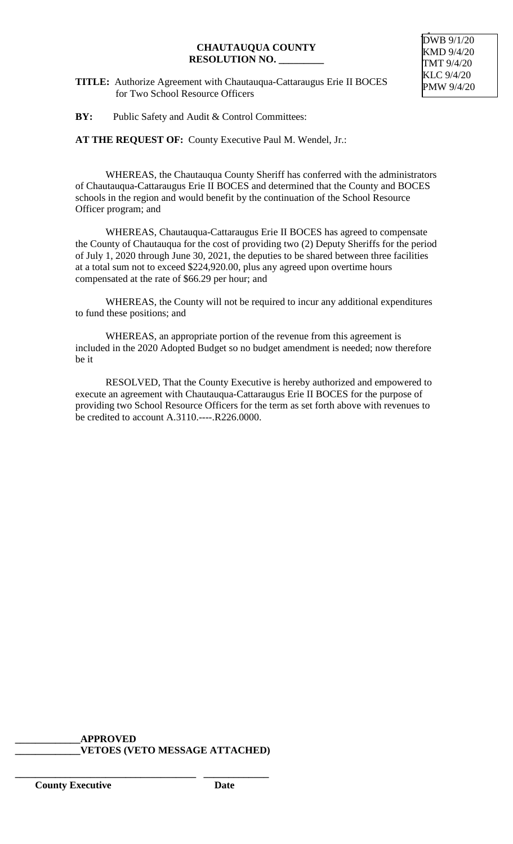**TITLE:** Authorize Agreement with Chautauqua-Cattaraugus Erie II BOCES for Two School Resource Officers

DWB 9/1/20 KMD 9/4/20 TMT 9/4/20 KLC 9/4/20 PMW 9/4/20

#### **BY:** Public Safety and Audit & Control Committees:

**AT THE REQUEST OF:** County Executive Paul M. Wendel, Jr.:

WHEREAS, the Chautauqua County Sheriff has conferred with the administrators of Chautauqua-Cattaraugus Erie II BOCES and determined that the County and BOCES schools in the region and would benefit by the continuation of the School Resource Officer program; and

WHEREAS, Chautauqua-Cattaraugus Erie II BOCES has agreed to compensate the County of Chautauqua for the cost of providing two (2) Deputy Sheriffs for the period of July 1, 2020 through June 30, 2021, the deputies to be shared between three facilities at a total sum not to exceed \$224,920.00, plus any agreed upon overtime hours compensated at the rate of \$66.29 per hour; and

WHEREAS, the County will not be required to incur any additional expenditures to fund these positions; and

WHEREAS, an appropriate portion of the revenue from this agreement is included in the 2020 Adopted Budget so no budget amendment is needed; now therefore be it

RESOLVED, That the County Executive is hereby authorized and empowered to execute an agreement with Chautauqua-Cattaraugus Erie II BOCES for the purpose of providing two School Resource Officers for the term as set forth above with revenues to be credited to account A.3110.----.R226.0000.

#### **\_\_\_\_\_\_\_\_\_\_\_\_\_APPROVED \_\_\_\_\_\_\_\_\_\_\_\_\_VETOES (VETO MESSAGE ATTACHED)**

**\_\_\_\_\_\_\_\_\_\_\_\_\_\_\_\_\_\_\_\_\_\_\_\_\_\_\_\_\_\_\_\_\_\_\_\_ \_\_\_\_\_\_\_\_\_\_\_\_\_**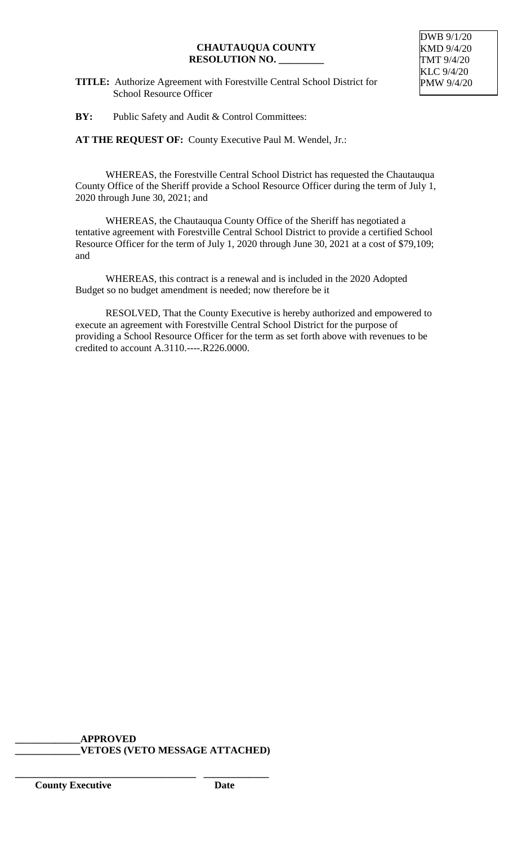- **TITLE:** Authorize Agreement with Forestville Central School District for School Resource Officer
- **BY:** Public Safety and Audit & Control Committees:

**AT THE REQUEST OF:** County Executive Paul M. Wendel, Jr.:

WHEREAS, the Forestville Central School District has requested the Chautauqua County Office of the Sheriff provide a School Resource Officer during the term of July 1, 2020 through June 30, 2021; and

WHEREAS, the Chautauqua County Office of the Sheriff has negotiated a tentative agreement with Forestville Central School District to provide a certified School Resource Officer for the term of July 1, 2020 through June 30, 2021 at a cost of \$79,109; and

WHEREAS, this contract is a renewal and is included in the 2020 Adopted Budget so no budget amendment is needed; now therefore be it

RESOLVED, That the County Executive is hereby authorized and empowered to execute an agreement with Forestville Central School District for the purpose of providing a School Resource Officer for the term as set forth above with revenues to be credited to account A.3110.----.R226.0000.

#### **\_\_\_\_\_\_\_\_\_\_\_\_\_APPROVED \_\_\_\_\_\_\_\_\_\_\_\_\_VETOES (VETO MESSAGE ATTACHED)**

**\_\_\_\_\_\_\_\_\_\_\_\_\_\_\_\_\_\_\_\_\_\_\_\_\_\_\_\_\_\_\_\_\_\_\_\_ \_\_\_\_\_\_\_\_\_\_\_\_\_**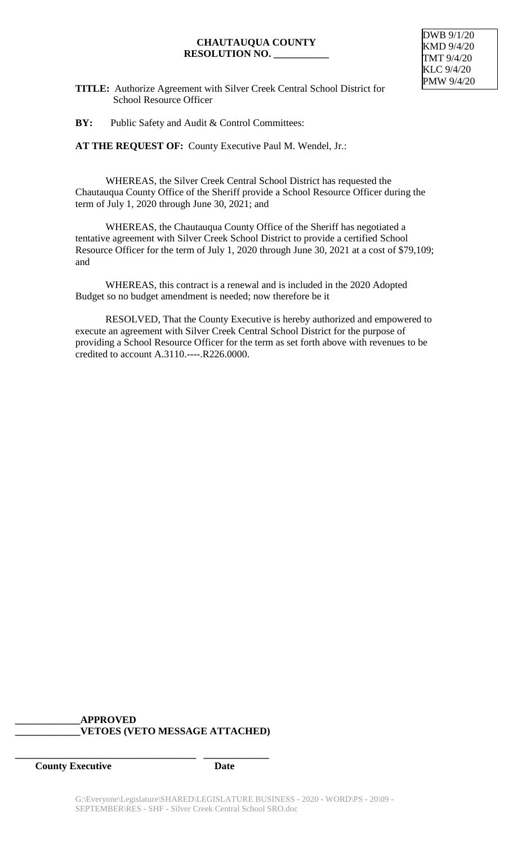

**TITLE:** Authorize Agreement with Silver Creek Central School District for School Resource Officer

**BY:** Public Safety and Audit & Control Committees:

**AT THE REQUEST OF:** County Executive Paul M. Wendel, Jr.:

WHEREAS, the Silver Creek Central School District has requested the Chautauqua County Office of the Sheriff provide a School Resource Officer during the term of July 1, 2020 through June 30, 2021; and

WHEREAS, the Chautauqua County Office of the Sheriff has negotiated a tentative agreement with Silver Creek School District to provide a certified School Resource Officer for the term of July 1, 2020 through June 30, 2021 at a cost of \$79,109; and

WHEREAS, this contract is a renewal and is included in the 2020 Adopted Budget so no budget amendment is needed; now therefore be it

RESOLVED, That the County Executive is hereby authorized and empowered to execute an agreement with Silver Creek Central School District for the purpose of providing a School Resource Officer for the term as set forth above with revenues to be credited to account A.3110.----.R226.0000.

## **\_\_\_\_\_\_\_\_\_\_\_\_\_APPROVED \_\_\_\_\_\_\_\_\_\_\_\_\_VETOES (VETO MESSAGE ATTACHED)**

**\_\_\_\_\_\_\_\_\_\_\_\_\_\_\_\_\_\_\_\_\_\_\_\_\_\_\_\_\_\_\_\_\_\_\_\_ \_\_\_\_\_\_\_\_\_\_\_\_\_**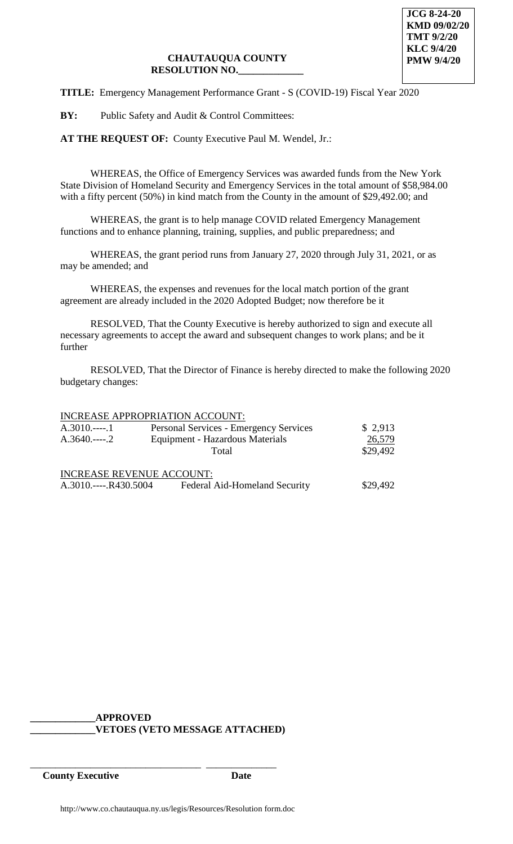**TITLE:** Emergency Management Performance Grant - S (COVID-19) Fiscal Year 2020

**BY:** Public Safety and Audit & Control Committees:

**AT THE REQUEST OF:** County Executive Paul M. Wendel, Jr.:

WHEREAS, the Office of Emergency Services was awarded funds from the New York State Division of Homeland Security and Emergency Services in the total amount of \$58,984.00 with a fifty percent (50%) in kind match from the County in the amount of \$29,492.00; and

WHEREAS, the grant is to help manage COVID related Emergency Management functions and to enhance planning, training, supplies, and public preparedness; and

WHEREAS, the grant period runs from January 27, 2020 through July 31, 2021, or as may be amended; and

WHEREAS, the expenses and revenues for the local match portion of the grant agreement are already included in the 2020 Adopted Budget; now therefore be it

RESOLVED, That the County Executive is hereby authorized to sign and execute all necessary agreements to accept the award and subsequent changes to work plans; and be it further

RESOLVED, That the Director of Finance is hereby directed to make the following 2020 budgetary changes:

#### INCREASE APPROPRIATION ACCOUNT:

| $A.3010$ 1         | <b>Personal Services - Emergency Services</b> | \$2,913  |
|--------------------|-----------------------------------------------|----------|
| $A.3640$ 2         | Equipment - Hazardous Materials               | 26,579   |
|                    | Total                                         | \$29,492 |
|                    | <b>INCREASE REVENUE ACCOUNT:</b>              |          |
| $A.3010$ R430.5004 | Federal Aid-Homeland Security                 | \$29,492 |

# **\_\_\_\_\_\_\_\_\_\_\_\_\_APPROVED**

\_\_\_\_\_\_\_\_\_\_\_\_\_\_\_\_\_\_\_\_\_\_\_\_\_\_\_\_\_\_\_\_\_\_ \_\_\_\_\_\_\_\_\_\_\_\_\_\_

## **\_\_\_\_\_\_\_\_\_\_\_\_\_VETOES (VETO MESSAGE ATTACHED)**

**County Executive Date**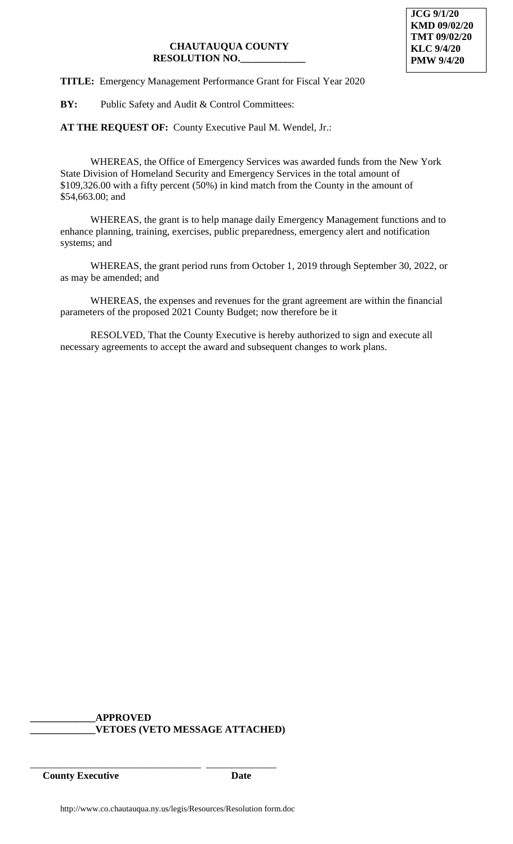## **TITLE:** Emergency Management Performance Grant for Fiscal Year 2020

**BY:** Public Safety and Audit & Control Committees:

**AT THE REQUEST OF:** County Executive Paul M. Wendel, Jr.:

WHEREAS, the Office of Emergency Services was awarded funds from the New York State Division of Homeland Security and Emergency Services in the total amount of \$109,326.00 with a fifty percent (50%) in kind match from the County in the amount of \$54,663.00; and

WHEREAS, the grant is to help manage daily Emergency Management functions and to enhance planning, training, exercises, public preparedness, emergency alert and notification systems; and

WHEREAS, the grant period runs from October 1, 2019 through September 30, 2022, or as may be amended; and

WHEREAS, the expenses and revenues for the grant agreement are within the financial parameters of the proposed 2021 County Budget; now therefore be it

RESOLVED, That the County Executive is hereby authorized to sign and execute all necessary agreements to accept the award and subsequent changes to work plans.

## **\_\_\_\_\_\_\_\_\_\_\_\_\_APPROVED \_\_\_\_\_\_\_\_\_\_\_\_\_VETOES (VETO MESSAGE ATTACHED)**

\_\_\_\_\_\_\_\_\_\_\_\_\_\_\_\_\_\_\_\_\_\_\_\_\_\_\_\_\_\_\_\_\_\_ \_\_\_\_\_\_\_\_\_\_\_\_\_\_ **County Executive Date**